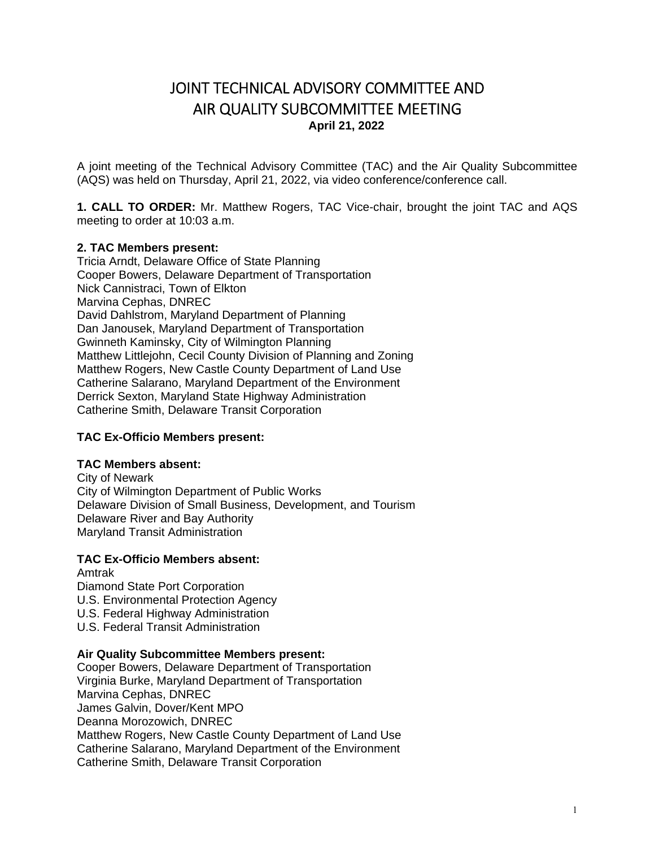# JOINT TECHNICAL ADVISORY COMMITTEE AND AIR QUALITY SUBCOMMITTEE MEETING **April 21, 2022**

A joint meeting of the Technical Advisory Committee (TAC) and the Air Quality Subcommittee (AQS) was held on Thursday, April 21, 2022, via video conference/conference call.

**1. CALL TO ORDER:** Mr. Matthew Rogers, TAC Vice-chair, brought the joint TAC and AQS meeting to order at 10:03 a.m.

# **2. TAC Members present:**

Tricia Arndt, Delaware Office of State Planning Cooper Bowers, Delaware Department of Transportation Nick Cannistraci, Town of Elkton Marvina Cephas, DNREC David Dahlstrom, Maryland Department of Planning Dan Janousek, Maryland Department of Transportation Gwinneth Kaminsky, City of Wilmington Planning Matthew Littlejohn, Cecil County Division of Planning and Zoning Matthew Rogers, New Castle County Department of Land Use Catherine Salarano, Maryland Department of the Environment Derrick Sexton, Maryland State Highway Administration Catherine Smith, Delaware Transit Corporation

#### **TAC Ex-Officio Members present:**

#### **TAC Members absent:**

City of Newark City of Wilmington Department of Public Works Delaware Division of Small Business, Development, and Tourism Delaware River and Bay Authority Maryland Transit Administration

#### **TAC Ex-Officio Members absent:**  Amtrak

Diamond State Port Corporation

- U.S. Environmental Protection Agency
- U.S. Federal Highway Administration
- U.S. Federal Transit Administration

#### **Air Quality Subcommittee Members present:**

Cooper Bowers, Delaware Department of Transportation Virginia Burke, Maryland Department of Transportation Marvina Cephas, DNREC James Galvin, Dover/Kent MPO Deanna Morozowich, DNREC Matthew Rogers, New Castle County Department of Land Use Catherine Salarano, Maryland Department of the Environment Catherine Smith, Delaware Transit Corporation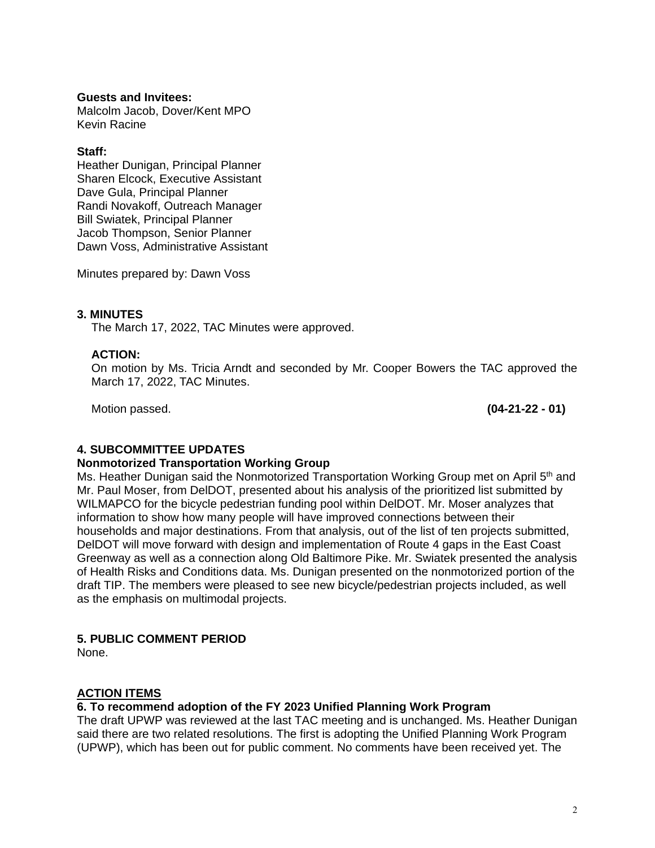#### **Guests and Invitees:**

Malcolm Jacob, Dover/Kent MPO Kevin Racine

#### **Staff:**

Heather Dunigan, Principal Planner Sharen Elcock, Executive Assistant Dave Gula, Principal Planner Randi Novakoff, Outreach Manager Bill Swiatek, Principal Planner Jacob Thompson, Senior Planner Dawn Voss, Administrative Assistant

Minutes prepared by: Dawn Voss

#### **3. MINUTES**

The March 17, 2022, TAC Minutes were approved.

#### **ACTION:**

On motion by Ms. Tricia Arndt and seconded by Mr. Cooper Bowers the TAC approved the March 17, 2022, TAC Minutes.

Motion passed. **(04-21-22 - 01)** 

# **4. SUBCOMMITTEE UPDATES**

#### **Nonmotorized Transportation Working Group**

Ms. Heather Dunigan said the Nonmotorized Transportation Working Group met on April 5<sup>th</sup> and Mr. Paul Moser, from DelDOT, presented about his analysis of the prioritized list submitted by WILMAPCO for the bicycle pedestrian funding pool within DelDOT. Mr. Moser analyzes that information to show how many people will have improved connections between their households and major destinations. From that analysis, out of the list of ten projects submitted, DelDOT will move forward with design and implementation of Route 4 gaps in the East Coast Greenway as well as a connection along Old Baltimore Pike. Mr. Swiatek presented the analysis of Health Risks and Conditions data. Ms. Dunigan presented on the nonmotorized portion of the draft TIP. The members were pleased to see new bicycle/pedestrian projects included, as well as the emphasis on multimodal projects.

# **5. PUBLIC COMMENT PERIOD**

None.

# **ACTION ITEMS**

# **6. To recommend adoption of the FY 2023 Unified Planning Work Program**

The draft UPWP was reviewed at the last TAC meeting and is unchanged. Ms. Heather Dunigan said there are two related resolutions. The first is adopting the Unified Planning Work Program (UPWP), which has been out for public comment. No comments have been received yet. The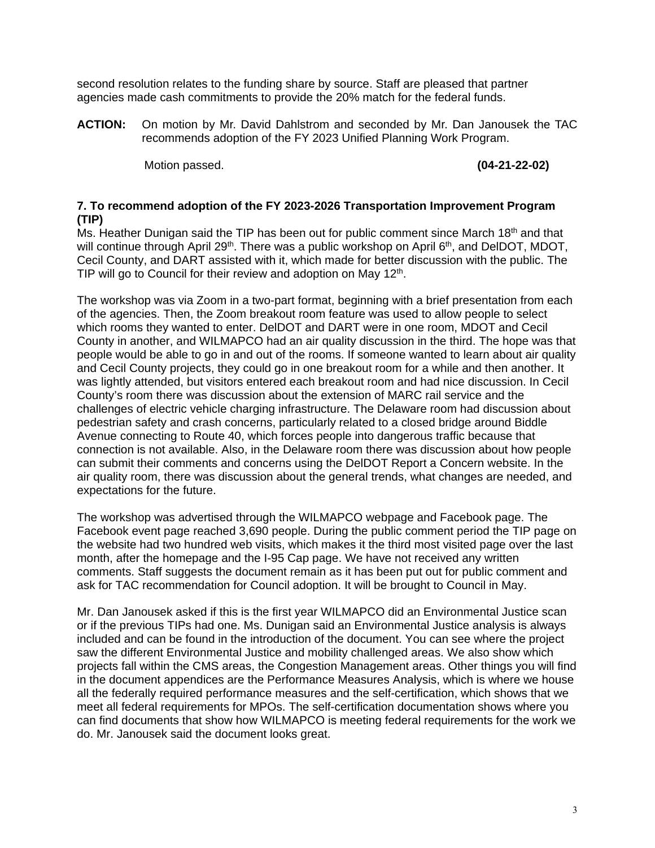second resolution relates to the funding share by source. Staff are pleased that partner agencies made cash commitments to provide the 20% match for the federal funds.

**ACTION:** On motion by Mr. David Dahlstrom and seconded by Mr. Dan Janousek the TAC recommends adoption of the FY 2023 Unified Planning Work Program.

Motion passed. **(04-21-22-02)** 

# **7. To recommend adoption of the FY 2023-2026 Transportation Improvement Program (TIP)**

Ms. Heather Dunigan said the TIP has been out for public comment since March 18<sup>th</sup> and that will continue through April 29<sup>th</sup>. There was a public workshop on April 6<sup>th</sup>, and DelDOT, MDOT, Cecil County, and DART assisted with it, which made for better discussion with the public. The TIP will go to Council for their review and adoption on May  $12<sup>th</sup>$ .

The workshop was via Zoom in a two-part format, beginning with a brief presentation from each of the agencies. Then, the Zoom breakout room feature was used to allow people to select which rooms they wanted to enter. DelDOT and DART were in one room, MDOT and Cecil County in another, and WILMAPCO had an air quality discussion in the third. The hope was that people would be able to go in and out of the rooms. If someone wanted to learn about air quality and Cecil County projects, they could go in one breakout room for a while and then another. It was lightly attended, but visitors entered each breakout room and had nice discussion. In Cecil County's room there was discussion about the extension of MARC rail service and the challenges of electric vehicle charging infrastructure. The Delaware room had discussion about pedestrian safety and crash concerns, particularly related to a closed bridge around Biddle Avenue connecting to Route 40, which forces people into dangerous traffic because that connection is not available. Also, in the Delaware room there was discussion about how people can submit their comments and concerns using the DelDOT Report a Concern website. In the air quality room, there was discussion about the general trends, what changes are needed, and expectations for the future.

The workshop was advertised through the WILMAPCO webpage and Facebook page. The Facebook event page reached 3,690 people. During the public comment period the TIP page on the website had two hundred web visits, which makes it the third most visited page over the last month, after the homepage and the I-95 Cap page. We have not received any written comments. Staff suggests the document remain as it has been put out for public comment and ask for TAC recommendation for Council adoption. It will be brought to Council in May.

Mr. Dan Janousek asked if this is the first year WILMAPCO did an Environmental Justice scan or if the previous TIPs had one. Ms. Dunigan said an Environmental Justice analysis is always included and can be found in the introduction of the document. You can see where the project saw the different Environmental Justice and mobility challenged areas. We also show which projects fall within the CMS areas, the Congestion Management areas. Other things you will find in the document appendices are the Performance Measures Analysis, which is where we house all the federally required performance measures and the self-certification, which shows that we meet all federal requirements for MPOs. The self-certification documentation shows where you can find documents that show how WILMAPCO is meeting federal requirements for the work we do. Mr. Janousek said the document looks great.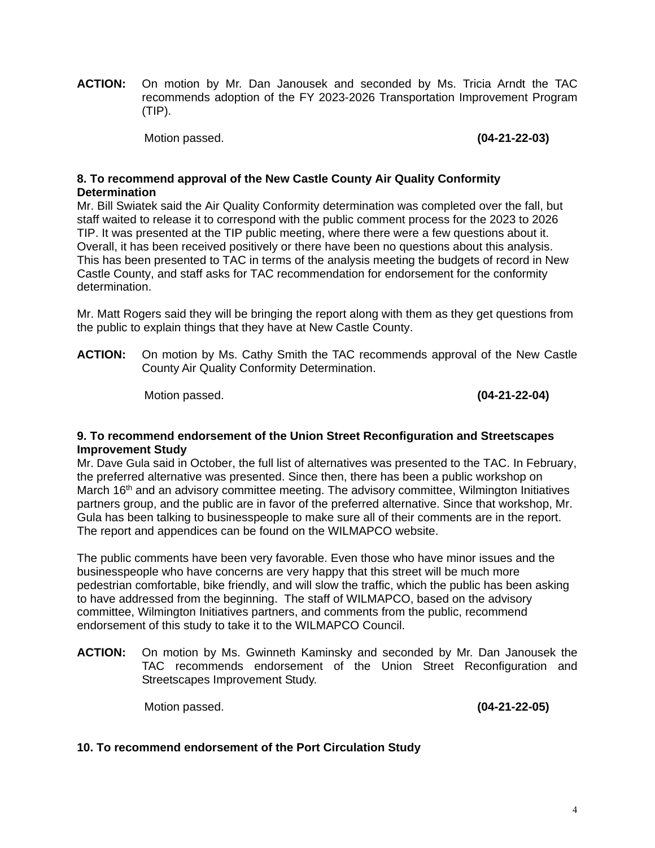**ACTION:** On motion by Mr. Dan Janousek and seconded by Ms. Tricia Arndt the TAC recommends adoption of the FY 2023-2026 Transportation Improvement Program (TIP).

Motion passed. **(04-21-22-03)** 

#### **8. To recommend approval of the New Castle County Air Quality Conformity Determination**

Mr. Bill Swiatek said the Air Quality Conformity determination was completed over the fall, but staff waited to release it to correspond with the public comment process for the 2023 to 2026 TIP. It was presented at the TIP public meeting, where there were a few questions about it. Overall, it has been received positively or there have been no questions about this analysis. This has been presented to TAC in terms of the analysis meeting the budgets of record in New Castle County, and staff asks for TAC recommendation for endorsement for the conformity determination.

Mr. Matt Rogers said they will be bringing the report along with them as they get questions from the public to explain things that they have at New Castle County.

**ACTION:** On motion by Ms. Cathy Smith the TAC recommends approval of the New Castle County Air Quality Conformity Determination.

Motion passed. **(04-21-22-04)** 

#### **9. To recommend endorsement of the Union Street Reconfiguration and Streetscapes Improvement Study**

Mr. Dave Gula said in October, the full list of alternatives was presented to the TAC. In February, the preferred alternative was presented. Since then, there has been a public workshop on March 16<sup>th</sup> and an advisory committee meeting. The advisory committee, Wilmington Initiatives partners group, and the public are in favor of the preferred alternative. Since that workshop, Mr. Gula has been talking to businesspeople to make sure all of their comments are in the report. The report and appendices can be found on the WILMAPCO website.

The public comments have been very favorable. Even those who have minor issues and the businesspeople who have concerns are very happy that this street will be much more pedestrian comfortable, bike friendly, and will slow the traffic, which the public has been asking to have addressed from the beginning. The staff of WILMAPCO, based on the advisory committee, Wilmington Initiatives partners, and comments from the public, recommend endorsement of this study to take it to the WILMAPCO Council.

**ACTION:** On motion by Ms. Gwinneth Kaminsky and seconded by Mr. Dan Janousek the TAC recommends endorsement of the Union Street Reconfiguration and Streetscapes Improvement Study.

Motion passed. **(04-21-22-05)** 

# **10. To recommend endorsement of the Port Circulation Study**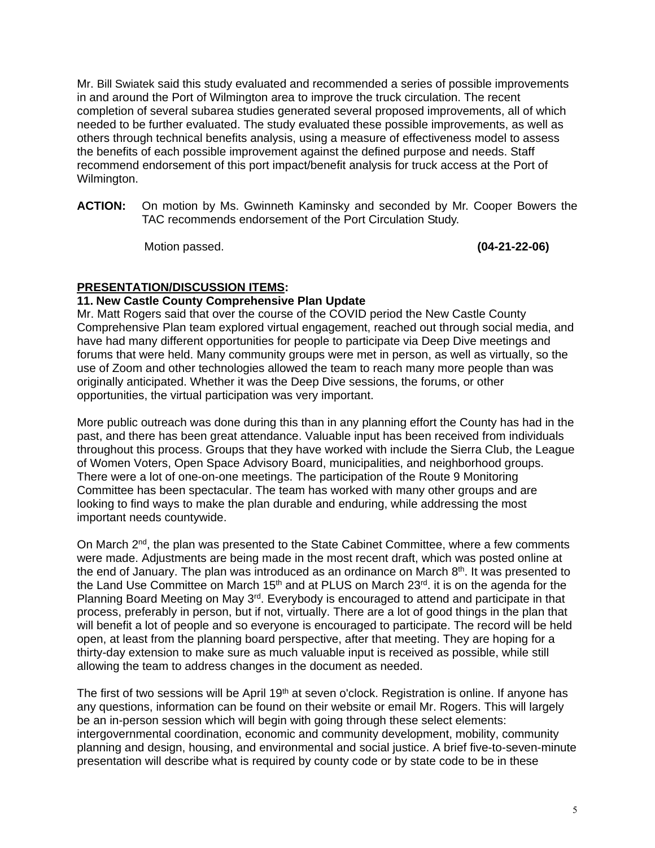Mr. Bill Swiatek said this study evaluated and recommended a series of possible improvements in and around the Port of Wilmington area to improve the truck circulation. The recent completion of several subarea studies generated several proposed improvements, all of which needed to be further evaluated. The study evaluated these possible improvements, as well as others through technical benefits analysis, using a measure of effectiveness model to assess the benefits of each possible improvement against the defined purpose and needs. Staff recommend endorsement of this port impact/benefit analysis for truck access at the Port of Wilmington.

**ACTION:** On motion by Ms. Gwinneth Kaminsky and seconded by Mr. Cooper Bowers the TAC recommends endorsement of the Port Circulation Study.

Motion passed. **(04-21-22-06)** 

# **PRESENTATION/DISCUSSION ITEMS:**

# **11. New Castle County Comprehensive Plan Update**

Mr. Matt Rogers said that over the course of the COVID period the New Castle County Comprehensive Plan team explored virtual engagement, reached out through social media, and have had many different opportunities for people to participate via Deep Dive meetings and forums that were held. Many community groups were met in person, as well as virtually, so the use of Zoom and other technologies allowed the team to reach many more people than was originally anticipated. Whether it was the Deep Dive sessions, the forums, or other opportunities, the virtual participation was very important.

More public outreach was done during this than in any planning effort the County has had in the past, and there has been great attendance. Valuable input has been received from individuals throughout this process. Groups that they have worked with include the Sierra Club, the League of Women Voters, Open Space Advisory Board, municipalities, and neighborhood groups. There were a lot of one-on-one meetings. The participation of the Route 9 Monitoring Committee has been spectacular. The team has worked with many other groups and are looking to find ways to make the plan durable and enduring, while addressing the most important needs countywide.

On March  $2<sup>nd</sup>$ , the plan was presented to the State Cabinet Committee, where a few comments were made. Adjustments are being made in the most recent draft, which was posted online at the end of January. The plan was introduced as an ordinance on March 8<sup>th</sup>. It was presented to the Land Use Committee on March 15<sup>th</sup> and at PLUS on March 23<sup>rd</sup>. it is on the agenda for the Planning Board Meeting on May 3<sup>rd</sup>. Everybody is encouraged to attend and participate in that process, preferably in person, but if not, virtually. There are a lot of good things in the plan that will benefit a lot of people and so everyone is encouraged to participate. The record will be held open, at least from the planning board perspective, after that meeting. They are hoping for a thirty-day extension to make sure as much valuable input is received as possible, while still allowing the team to address changes in the document as needed.

The first of two sessions will be April  $19<sup>th</sup>$  at seven o'clock. Registration is online. If anyone has any questions, information can be found on their website or email Mr. Rogers. This will largely be an in-person session which will begin with going through these select elements: intergovernmental coordination, economic and community development, mobility, community planning and design, housing, and environmental and social justice. A brief five-to-seven-minute presentation will describe what is required by county code or by state code to be in these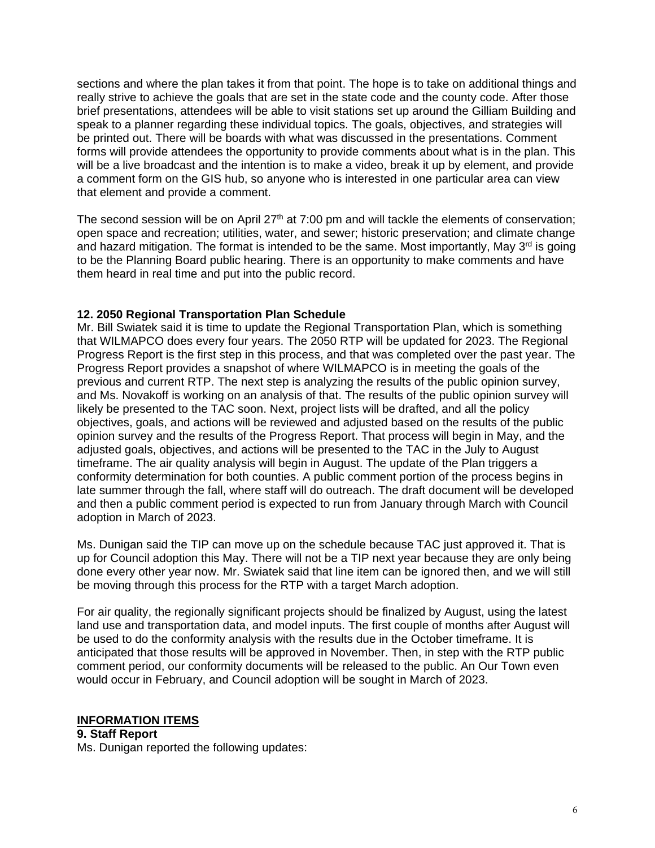sections and where the plan takes it from that point. The hope is to take on additional things and really strive to achieve the goals that are set in the state code and the county code. After those brief presentations, attendees will be able to visit stations set up around the Gilliam Building and speak to a planner regarding these individual topics. The goals, objectives, and strategies will be printed out. There will be boards with what was discussed in the presentations. Comment forms will provide attendees the opportunity to provide comments about what is in the plan. This will be a live broadcast and the intention is to make a video, break it up by element, and provide a comment form on the GIS hub, so anyone who is interested in one particular area can view that element and provide a comment.

The second session will be on April  $27<sup>th</sup>$  at 7:00 pm and will tackle the elements of conservation; open space and recreation; utilities, water, and sewer; historic preservation; and climate change and hazard mitigation. The format is intended to be the same. Most importantly, May  $3<sup>rd</sup>$  is going to be the Planning Board public hearing. There is an opportunity to make comments and have them heard in real time and put into the public record.

# **12. 2050 Regional Transportation Plan Schedule**

Mr. Bill Swiatek said it is time to update the Regional Transportation Plan, which is something that WILMAPCO does every four years. The 2050 RTP will be updated for 2023. The Regional Progress Report is the first step in this process, and that was completed over the past year. The Progress Report provides a snapshot of where WILMAPCO is in meeting the goals of the previous and current RTP. The next step is analyzing the results of the public opinion survey, and Ms. Novakoff is working on an analysis of that. The results of the public opinion survey will likely be presented to the TAC soon. Next, project lists will be drafted, and all the policy objectives, goals, and actions will be reviewed and adjusted based on the results of the public opinion survey and the results of the Progress Report. That process will begin in May, and the adjusted goals, objectives, and actions will be presented to the TAC in the July to August timeframe. The air quality analysis will begin in August. The update of the Plan triggers a conformity determination for both counties. A public comment portion of the process begins in late summer through the fall, where staff will do outreach. The draft document will be developed and then a public comment period is expected to run from January through March with Council adoption in March of 2023.

Ms. Dunigan said the TIP can move up on the schedule because TAC just approved it. That is up for Council adoption this May. There will not be a TIP next year because they are only being done every other year now. Mr. Swiatek said that line item can be ignored then, and we will still be moving through this process for the RTP with a target March adoption.

For air quality, the regionally significant projects should be finalized by August, using the latest land use and transportation data, and model inputs. The first couple of months after August will be used to do the conformity analysis with the results due in the October timeframe. It is anticipated that those results will be approved in November. Then, in step with the RTP public comment period, our conformity documents will be released to the public. An Our Town even would occur in February, and Council adoption will be sought in March of 2023.

# **INFORMATION ITEMS**

**9. Staff Report**  Ms. Dunigan reported the following updates: